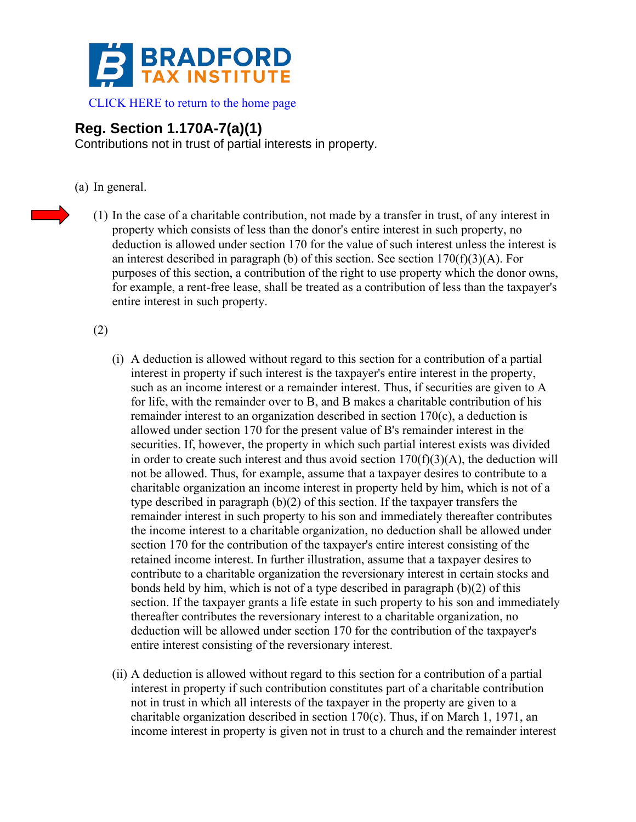

[CLICK HERE to return to the home page](http://www.bradfordtaxinstitute.com/) 

## **Reg. Section 1.170A-7(a)(1)**

Contributions not in trust of partial interests in property.

- (a) In general.
	- (1) In the case of a charitable contribution, not made by a transfer in trust, of any interest in property which consists of less than the donor's entire interest in such property, no deduction is allowed under section 170 for the value of such interest unless the interest is an interest described in paragraph (b) of this section. See section  $170(f)(3)(A)$ . For purposes of this section, a contribution of the right to use property which the donor owns, for example, a rent-free lease, shall be treated as a contribution of less than the taxpayer's entire interest in such property.

## (2)

- (i) A deduction is allowed without regard to this section for a contribution of a partial interest in property if such interest is the taxpayer's entire interest in the property, such as an income interest or a remainder interest. Thus, if securities are given to A for life, with the remainder over to B, and B makes a charitable contribution of his remainder interest to an organization described in section 170(c), a deduction is allowed under section 170 for the present value of B's remainder interest in the securities. If, however, the property in which such partial interest exists was divided in order to create such interest and thus avoid section  $170(f)(3)(A)$ , the deduction will not be allowed. Thus, for example, assume that a taxpayer desires to contribute to a charitable organization an income interest in property held by him, which is not of a type described in paragraph (b)(2) of this section. If the taxpayer transfers the remainder interest in such property to his son and immediately thereafter contributes the income interest to a charitable organization, no deduction shall be allowed under section 170 for the contribution of the taxpayer's entire interest consisting of the retained income interest. In further illustration, assume that a taxpayer desires to contribute to a charitable organization the reversionary interest in certain stocks and bonds held by him, which is not of a type described in paragraph (b)(2) of this section. If the taxpayer grants a life estate in such property to his son and immediately thereafter contributes the reversionary interest to a charitable organization, no deduction will be allowed under section 170 for the contribution of the taxpayer's entire interest consisting of the reversionary interest.
- (ii) A deduction is allowed without regard to this section for a contribution of a partial interest in property if such contribution constitutes part of a charitable contribution not in trust in which all interests of the taxpayer in the property are given to a charitable organization described in section 170(c). Thus, if on March 1, 1971, an income interest in property is given not in trust to a church and the remainder interest